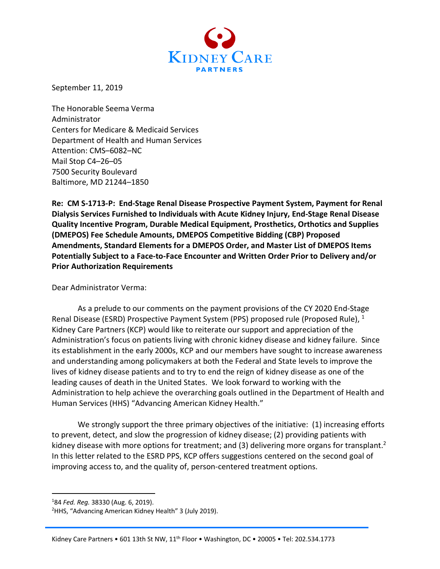

September 11, 2019

The Honorable Seema Verma Administrator Centers for Medicare & Medicaid Services Department of Health and Human Services Attention: CMS–6082–NC Mail Stop C4–26–05 7500 Security Boulevard Baltimore, MD 21244–1850

**Re: CM S-1713-P: End-Stage Renal Disease Prospective Payment System, Payment for Renal Dialysis Services Furnished to Individuals with Acute Kidney Injury, End-Stage Renal Disease Quality Incentive Program, Durable Medical Equipment, Prosthetics, Orthotics and Supplies (DMEPOS) Fee Schedule Amounts, DMEPOS Competitive Bidding (CBP) Proposed Amendments, Standard Elements for a DMEPOS Order, and Master List of DMEPOS Items Potentially Subject to a Face-to-Face Encounter and Written Order Prior to Delivery and/or Prior Authorization Requirements**

Dear Administrator Verma:

As a prelude to our comments on the payment provisions of the CY 2020 End-Stage Renal Disease (ESRD) Prospective Payment System (PPS) proposed rule (Proposed Rule),  $1$ Kidney Care Partners (KCP) would like to reiterate our support and appreciation of the Administration's focus on patients living with chronic kidney disease and kidney failure. Since its establishment in the early 2000s, KCP and our members have sought to increase awareness and understanding among policymakers at both the Federal and State levels to improve the lives of kidney disease patients and to try to end the reign of kidney disease as one of the leading causes of death in the United States. We look forward to working with the Administration to help achieve the overarching goals outlined in the Department of Health and Human Services (HHS) "Advancing American Kidney Health."

We strongly support the three primary objectives of the initiative: (1) increasing efforts to prevent, detect, and slow the progression of kidney disease; (2) providing patients with kidney disease with more options for treatment; and (3) delivering more organs for transplant.<sup>2</sup> In this letter related to the ESRD PPS, KCP offers suggestions centered on the second goal of improving access to, and the quality of, person-centered treatment options.

<sup>&</sup>lt;sup>1</sup>84 Fed. Reg. 38330 (Aug. 6, 2019).<br><sup>2</sup>HHS "Advancing American Kidney.

<sup>&</sup>lt;sup>2</sup>HHS, "Advancing American Kidney Health" 3 (July 2019).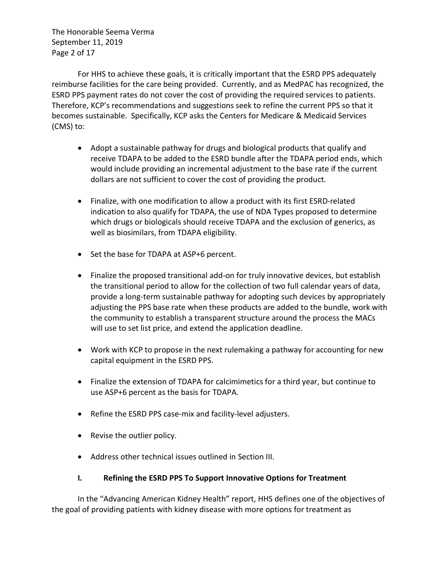The Honorable Seema Verma September 11, 2019 Page 2 of 17

For HHS to achieve these goals, it is critically important that the ESRD PPS adequately reimburse facilities for the care being provided. Currently, and as MedPAC has recognized, the ESRD PPS payment rates do not cover the cost of providing the required services to patients. Therefore, KCP's recommendations and suggestions seek to refine the current PPS so that it becomes sustainable. Specifically, KCP asks the Centers for Medicare & Medicaid Services (CMS) to:

- Adopt a sustainable pathway for drugs and biological products that qualify and receive TDAPA to be added to the ESRD bundle after the TDAPA period ends, which would include providing an incremental adjustment to the base rate if the current dollars are not sufficient to cover the cost of providing the product.
- Finalize, with one modification to allow a product with its first ESRD-related indication to also qualify for TDAPA, the use of NDA Types proposed to determine which drugs or biologicals should receive TDAPA and the exclusion of generics, as well as biosimilars, from TDAPA eligibility.
- Set the base for TDAPA at ASP+6 percent.
- Finalize the proposed transitional add-on for truly innovative devices, but establish the transitional period to allow for the collection of two full calendar years of data, provide a long-term sustainable pathway for adopting such devices by appropriately adjusting the PPS base rate when these products are added to the bundle, work with the community to establish a transparent structure around the process the MACs will use to set list price, and extend the application deadline.
- Work with KCP to propose in the next rulemaking a pathway for accounting for new capital equipment in the ESRD PPS.
- Finalize the extension of TDAPA for calcimimetics for a third year, but continue to use ASP+6 percent as the basis for TDAPA.
- Refine the ESRD PPS case-mix and facility-level adjusters.
- Revise the outlier policy.
- Address other technical issues outlined in Section III.

## **I. Refining the ESRD PPS To Support Innovative Options for Treatment**

In the "Advancing American Kidney Health" report, HHS defines one of the objectives of the goal of providing patients with kidney disease with more options for treatment as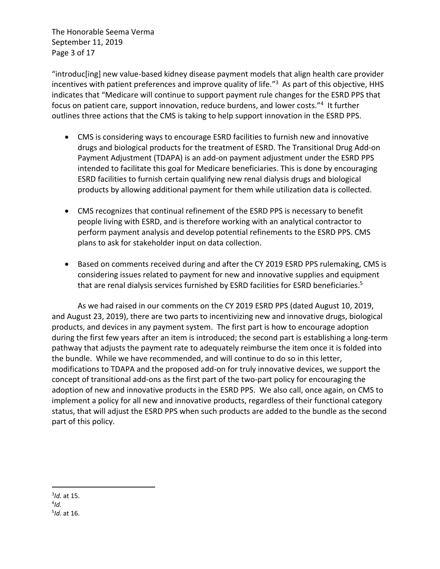The Honorable Seema Verma September 11, 2019 Page 3 of 17

"introduc[ing] new value-based kidney disease payment models that align health care provider incentives with patient preferences and improve quality of life."<sup>3</sup> As part of this objective, HHS indicates that "Medicare will continue to support payment rule changes for the ESRD PPS that focus on patient care, support innovation, reduce burdens, and lower costs."<sup>4</sup> It further outlines three actions that the CMS is taking to help support innovation in the ESRD PPS.

- CMS is considering ways to encourage ESRD facilities to furnish new and innovative drugs and biological products for the treatment of ESRD. The Transitional Drug Add-on Payment Adjustment (TDAPA) is an add-on payment adjustment under the ESRD PPS intended to facilitate this goal for Medicare beneficiaries. This is done by encouraging ESRD facilities to furnish certain qualifying new renal dialysis drugs and biological products by allowing additional payment for them while utilization data is collected.
- CMS recognizes that continual refinement of the ESRD PPS is necessary to benefit people living with ESRD, and is therefore working with an analytical contractor to perform payment analysis and develop potential refinements to the ESRD PPS. CMS plans to ask for stakeholder input on data collection.
- Based on comments received during and after the CY 2019 ESRD PPS rulemaking, CMS is considering issues related to payment for new and innovative supplies and equipment that are renal dialysis services furnished by ESRD facilities for ESRD beneficiaries.<sup>5</sup>

As we had raised in our comments on the CY 2019 ESRD PPS (dated August 10, 2019, and August 23, 2019), there are two parts to incentivizing new and innovative drugs, biological products, and devices in any payment system. The first part is how to encourage adoption during the first few years after an item is introduced; the second part is establishing a long-term pathway that adjusts the payment rate to adequately reimburse the item once it is folded into the bundle. While we have recommended, and will continue to do so in this letter, modifications to TDAPA and the proposed add-on for truly innovative devices, we support the concept of transitional add-ons as the first part of the two-part policy for encouraging the adoption of new and innovative products in the ESRD PPS. We also call, once again, on CMS to implement a policy for all new and innovative products, regardless of their functional category status, that will adjust the ESRD PPS when such products are added to the bundle as the second part of this policy.

<sup>3</sup> *Id.* at 15.

<sup>4</sup> *Id.* 5 *Id.* at 16.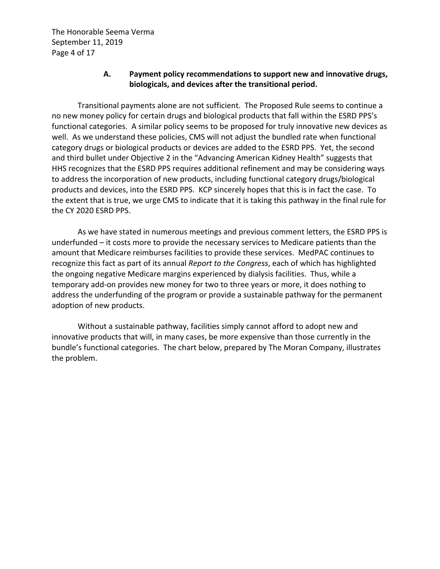The Honorable Seema Verma September 11, 2019 Page 4 of 17

## **A. Payment policy recommendations to support new and innovative drugs, biologicals, and devices after the transitional period.**

Transitional payments alone are not sufficient. The Proposed Rule seems to continue a no new money policy for certain drugs and biological products that fall within the ESRD PPS's functional categories. A similar policy seems to be proposed for truly innovative new devices as well. As we understand these policies, CMS will not adjust the bundled rate when functional category drugs or biological products or devices are added to the ESRD PPS. Yet, the second and third bullet under Objective 2 in the "Advancing American Kidney Health" suggests that HHS recognizes that the ESRD PPS requires additional refinement and may be considering ways to address the incorporation of new products, including functional category drugs/biological products and devices, into the ESRD PPS. KCP sincerely hopes that this is in fact the case. To the extent that is true, we urge CMS to indicate that it is taking this pathway in the final rule for the CY 2020 ESRD PPS.

As we have stated in numerous meetings and previous comment letters, the ESRD PPS is underfunded – it costs more to provide the necessary services to Medicare patients than the amount that Medicare reimburses facilities to provide these services. MedPAC continues to recognize this fact as part of its annual *Report to the Congress*, each of which has highlighted the ongoing negative Medicare margins experienced by dialysis facilities. Thus, while a temporary add-on provides new money for two to three years or more, it does nothing to address the underfunding of the program or provide a sustainable pathway for the permanent adoption of new products.

Without a sustainable pathway, facilities simply cannot afford to adopt new and innovative products that will, in many cases, be more expensive than those currently in the bundle's functional categories. The chart below, prepared by The Moran Company, illustrates the problem.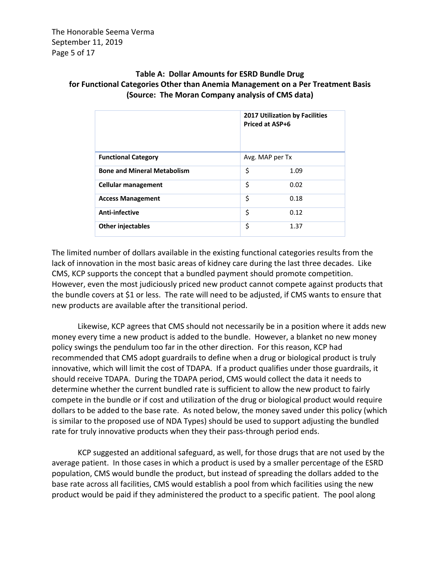The Honorable Seema Verma September 11, 2019 Page 5 of 17

# **Table A: Dollar Amounts for ESRD Bundle Drug for Functional Categories Other than Anemia Management on a Per Treatment Basis (Source: The Moran Company analysis of CMS data)**

|                                    | 2017 Utilization by Facilities<br><b>Priced at ASP+6</b> |      |
|------------------------------------|----------------------------------------------------------|------|
| <b>Functional Category</b>         | Avg. MAP per Tx                                          |      |
| <b>Bone and Mineral Metabolism</b> | \$                                                       | 1.09 |
| <b>Cellular management</b>         | \$                                                       | 0.02 |
| <b>Access Management</b>           | \$                                                       | 0.18 |
| Anti-infective                     | \$                                                       | 0.12 |
| <b>Other injectables</b>           | \$                                                       | 1.37 |

The limited number of dollars available in the existing functional categories results from the lack of innovation in the most basic areas of kidney care during the last three decades. Like CMS, KCP supports the concept that a bundled payment should promote competition. However, even the most judiciously priced new product cannot compete against products that the bundle covers at \$1 or less. The rate will need to be adjusted, if CMS wants to ensure that new products are available after the transitional period.

Likewise, KCP agrees that CMS should not necessarily be in a position where it adds new money every time a new product is added to the bundle. However, a blanket no new money policy swings the pendulum too far in the other direction. For this reason, KCP had recommended that CMS adopt guardrails to define when a drug or biological product is truly innovative, which will limit the cost of TDAPA. If a product qualifies under those guardrails, it should receive TDAPA. During the TDAPA period, CMS would collect the data it needs to determine whether the current bundled rate is sufficient to allow the new product to fairly compete in the bundle or if cost and utilization of the drug or biological product would require dollars to be added to the base rate. As noted below, the money saved under this policy (which is similar to the proposed use of NDA Types) should be used to support adjusting the bundled rate for truly innovative products when they their pass-through period ends.

KCP suggested an additional safeguard, as well, for those drugs that are not used by the average patient. In those cases in which a product is used by a smaller percentage of the ESRD population, CMS would bundle the product, but instead of spreading the dollars added to the base rate across all facilities, CMS would establish a pool from which facilities using the new product would be paid if they administered the product to a specific patient. The pool along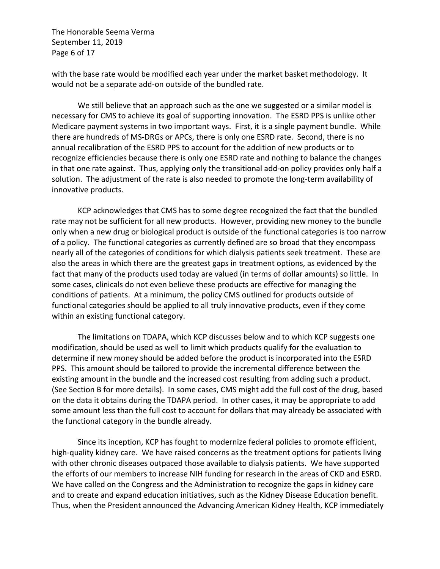The Honorable Seema Verma September 11, 2019 Page 6 of 17

with the base rate would be modified each year under the market basket methodology. It would not be a separate add-on outside of the bundled rate.

We still believe that an approach such as the one we suggested or a similar model is necessary for CMS to achieve its goal of supporting innovation. The ESRD PPS is unlike other Medicare payment systems in two important ways. First, it is a single payment bundle. While there are hundreds of MS-DRGs or APCs, there is only one ESRD rate. Second, there is no annual recalibration of the ESRD PPS to account for the addition of new products or to recognize efficiencies because there is only one ESRD rate and nothing to balance the changes in that one rate against. Thus, applying only the transitional add-on policy provides only half a solution. The adjustment of the rate is also needed to promote the long-term availability of innovative products.

KCP acknowledges that CMS has to some degree recognized the fact that the bundled rate may not be sufficient for all new products. However, providing new money to the bundle only when a new drug or biological product is outside of the functional categories is too narrow of a policy. The functional categories as currently defined are so broad that they encompass nearly all of the categories of conditions for which dialysis patients seek treatment. These are also the areas in which there are the greatest gaps in treatment options, as evidenced by the fact that many of the products used today are valued (in terms of dollar amounts) so little. In some cases, clinicals do not even believe these products are effective for managing the conditions of patients. At a minimum, the policy CMS outlined for products outside of functional categories should be applied to all truly innovative products, even if they come within an existing functional category.

The limitations on TDAPA, which KCP discusses below and to which KCP suggests one modification, should be used as well to limit which products qualify for the evaluation to determine if new money should be added before the product is incorporated into the ESRD PPS. This amount should be tailored to provide the incremental difference between the existing amount in the bundle and the increased cost resulting from adding such a product. (See Section B for more details). In some cases, CMS might add the full cost of the drug, based on the data it obtains during the TDAPA period. In other cases, it may be appropriate to add some amount less than the full cost to account for dollars that may already be associated with the functional category in the bundle already.

Since its inception, KCP has fought to modernize federal policies to promote efficient, high-quality kidney care. We have raised concerns as the treatment options for patients living with other chronic diseases outpaced those available to dialysis patients. We have supported the efforts of our members to increase NIH funding for research in the areas of CKD and ESRD. We have called on the Congress and the Administration to recognize the gaps in kidney care and to create and expand education initiatives, such as the Kidney Disease Education benefit. Thus, when the President announced the Advancing American Kidney Health, KCP immediately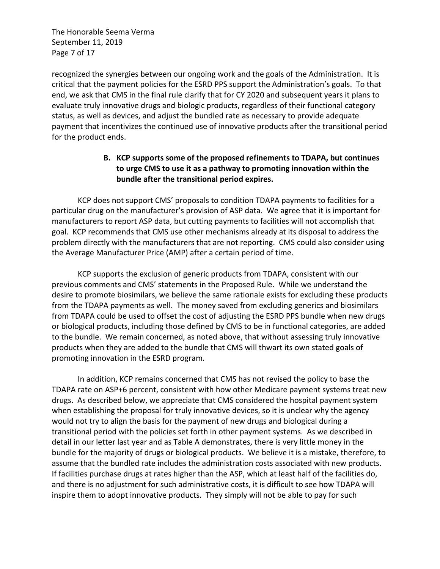The Honorable Seema Verma September 11, 2019 Page 7 of 17

recognized the synergies between our ongoing work and the goals of the Administration. It is critical that the payment policies for the ESRD PPS support the Administration's goals. To that end, we ask that CMS in the final rule clarify that for CY 2020 and subsequent years it plans to evaluate truly innovative drugs and biologic products, regardless of their functional category status, as well as devices, and adjust the bundled rate as necessary to provide adequate payment that incentivizes the continued use of innovative products after the transitional period for the product ends.

# **B. KCP supports some of the proposed refinements to TDAPA, but continues to urge CMS to use it as a pathway to promoting innovation within the bundle after the transitional period expires.**

KCP does not support CMS' proposals to condition TDAPA payments to facilities for a particular drug on the manufacturer's provision of ASP data. We agree that it is important for manufacturers to report ASP data, but cutting payments to facilities will not accomplish that goal. KCP recommends that CMS use other mechanisms already at its disposal to address the problem directly with the manufacturers that are not reporting. CMS could also consider using the Average Manufacturer Price (AMP) after a certain period of time.

KCP supports the exclusion of generic products from TDAPA, consistent with our previous comments and CMS' statements in the Proposed Rule. While we understand the desire to promote biosimilars, we believe the same rationale exists for excluding these products from the TDAPA payments as well. The money saved from excluding generics and biosimilars from TDAPA could be used to offset the cost of adjusting the ESRD PPS bundle when new drugs or biological products, including those defined by CMS to be in functional categories, are added to the bundle. We remain concerned, as noted above, that without assessing truly innovative products when they are added to the bundle that CMS will thwart its own stated goals of promoting innovation in the ESRD program.

In addition, KCP remains concerned that CMS has not revised the policy to base the TDAPA rate on ASP+6 percent, consistent with how other Medicare payment systems treat new drugs. As described below, we appreciate that CMS considered the hospital payment system when establishing the proposal for truly innovative devices, so it is unclear why the agency would not try to align the basis for the payment of new drugs and biological during a transitional period with the policies set forth in other payment systems. As we described in detail in our letter last year and as Table A demonstrates, there is very little money in the bundle for the majority of drugs or biological products. We believe it is a mistake, therefore, to assume that the bundled rate includes the administration costs associated with new products. If facilities purchase drugs at rates higher than the ASP, which at least half of the facilities do, and there is no adjustment for such administrative costs, it is difficult to see how TDAPA will inspire them to adopt innovative products. They simply will not be able to pay for such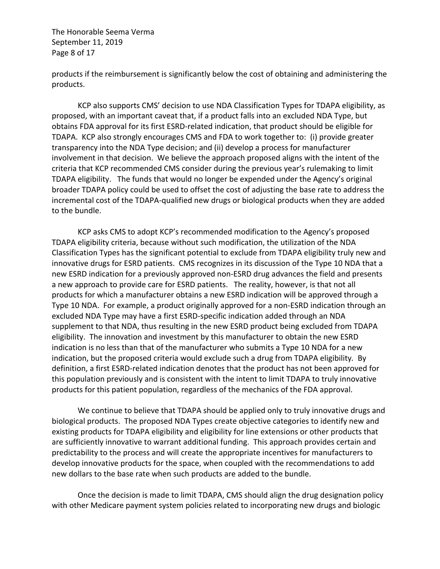The Honorable Seema Verma September 11, 2019 Page 8 of 17

products if the reimbursement is significantly below the cost of obtaining and administering the products.

KCP also supports CMS' decision to use NDA Classification Types for TDAPA eligibility, as proposed, with an important caveat that, if a product falls into an excluded NDA Type, but obtains FDA approval for its first ESRD-related indication, that product should be eligible for TDAPA. KCP also strongly encourages CMS and FDA to work together to: (i) provide greater transparency into the NDA Type decision; and (ii) develop a process for manufacturer involvement in that decision. We believe the approach proposed aligns with the intent of the criteria that KCP recommended CMS consider during the previous year's rulemaking to limit TDAPA eligibility. The funds that would no longer be expended under the Agency's original broader TDAPA policy could be used to offset the cost of adjusting the base rate to address the incremental cost of the TDAPA-qualified new drugs or biological products when they are added to the bundle.

KCP asks CMS to adopt KCP's recommended modification to the Agency's proposed TDAPA eligibility criteria, because without such modification, the utilization of the NDA Classification Types has the significant potential to exclude from TDAPA eligibility truly new and innovative drugs for ESRD patients. CMS recognizes in its discussion of the Type 10 NDA that a new ESRD indication for a previously approved non-ESRD drug advances the field and presents a new approach to provide care for ESRD patients. The reality, however, is that not all products for which a manufacturer obtains a new ESRD indication will be approved through a Type 10 NDA. For example, a product originally approved for a non-ESRD indication through an excluded NDA Type may have a first ESRD-specific indication added through an NDA supplement to that NDA, thus resulting in the new ESRD product being excluded from TDAPA eligibility. The innovation and investment by this manufacturer to obtain the new ESRD indication is no less than that of the manufacturer who submits a Type 10 NDA for a new indication, but the proposed criteria would exclude such a drug from TDAPA eligibility*.* By definition, a first ESRD-related indication denotes that the product has not been approved for this population previously and is consistent with the intent to limit TDAPA to truly innovative products for this patient population, regardless of the mechanics of the FDA approval.

We continue to believe that TDAPA should be applied only to truly innovative drugs and biological products. The proposed NDA Types create objective categories to identify new and existing products for TDAPA eligibility and eligibility for line extensions or other products that are sufficiently innovative to warrant additional funding. This approach provides certain and predictability to the process and will create the appropriate incentives for manufacturers to develop innovative products for the space, when coupled with the recommendations to add new dollars to the base rate when such products are added to the bundle.

Once the decision is made to limit TDAPA, CMS should align the drug designation policy with other Medicare payment system policies related to incorporating new drugs and biologic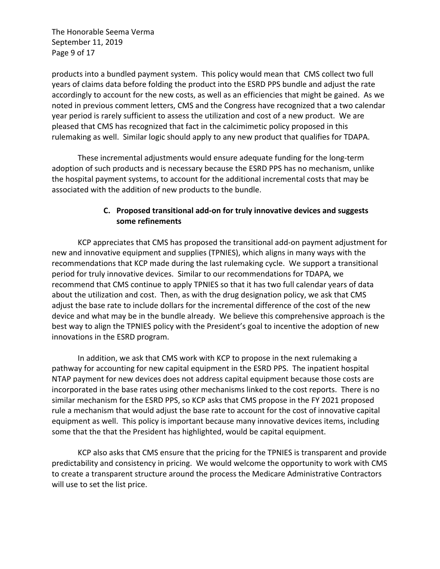The Honorable Seema Verma September 11, 2019 Page 9 of 17

products into a bundled payment system. This policy would mean that CMS collect two full years of claims data before folding the product into the ESRD PPS bundle and adjust the rate accordingly to account for the new costs, as well as an efficiencies that might be gained. As we noted in previous comment letters, CMS and the Congress have recognized that a two calendar year period is rarely sufficient to assess the utilization and cost of a new product. We are pleased that CMS has recognized that fact in the calcimimetic policy proposed in this rulemaking as well. Similar logic should apply to any new product that qualifies for TDAPA.

These incremental adjustments would ensure adequate funding for the long-term adoption of such products and is necessary because the ESRD PPS has no mechanism, unlike the hospital payment systems, to account for the additional incremental costs that may be associated with the addition of new products to the bundle.

## **C. Proposed transitional add-on for truly innovative devices and suggests some refinements**

KCP appreciates that CMS has proposed the transitional add-on payment adjustment for new and innovative equipment and supplies (TPNIES), which aligns in many ways with the recommendations that KCP made during the last rulemaking cycle. We support a transitional period for truly innovative devices. Similar to our recommendations for TDAPA, we recommend that CMS continue to apply TPNIES so that it has two full calendar years of data about the utilization and cost. Then, as with the drug designation policy, we ask that CMS adjust the base rate to include dollars for the incremental difference of the cost of the new device and what may be in the bundle already. We believe this comprehensive approach is the best way to align the TPNIES policy with the President's goal to incentive the adoption of new innovations in the ESRD program.

In addition, we ask that CMS work with KCP to propose in the next rulemaking a pathway for accounting for new capital equipment in the ESRD PPS. The inpatient hospital NTAP payment for new devices does not address capital equipment because those costs are incorporated in the base rates using other mechanisms linked to the cost reports. There is no similar mechanism for the ESRD PPS, so KCP asks that CMS propose in the FY 2021 proposed rule a mechanism that would adjust the base rate to account for the cost of innovative capital equipment as well. This policy is important because many innovative devices items, including some that the that the President has highlighted, would be capital equipment.

KCP also asks that CMS ensure that the pricing for the TPNIES is transparent and provide predictability and consistency in pricing. We would welcome the opportunity to work with CMS to create a transparent structure around the process the Medicare Administrative Contractors will use to set the list price.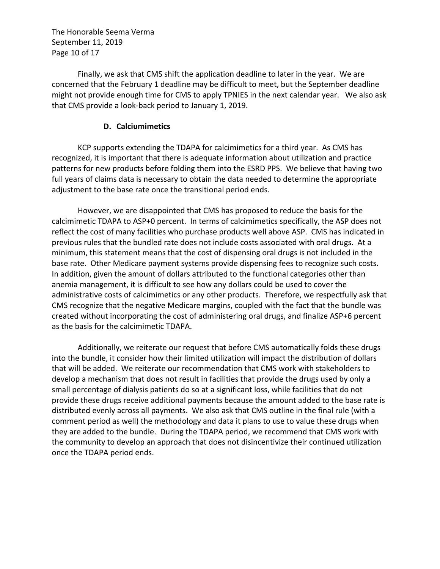The Honorable Seema Verma September 11, 2019 Page 10 of 17

Finally, we ask that CMS shift the application deadline to later in the year. We are concerned that the February 1 deadline may be difficult to meet, but the September deadline might not provide enough time for CMS to apply TPNIES in the next calendar year. We also ask that CMS provide a look-back period to January 1, 2019.

#### **D. Calciumimetics**

KCP supports extending the TDAPA for calcimimetics for a third year. As CMS has recognized, it is important that there is adequate information about utilization and practice patterns for new products before folding them into the ESRD PPS. We believe that having two full years of claims data is necessary to obtain the data needed to determine the appropriate adjustment to the base rate once the transitional period ends.

However, we are disappointed that CMS has proposed to reduce the basis for the calcimimetic TDAPA to ASP+0 percent. In terms of calcimimetics specifically, the ASP does not reflect the cost of many facilities who purchase products well above ASP. CMS has indicated in previous rules that the bundled rate does not include costs associated with oral drugs. At a minimum, this statement means that the cost of dispensing oral drugs is not included in the base rate. Other Medicare payment systems provide dispensing fees to recognize such costs. In addition, given the amount of dollars attributed to the functional categories other than anemia management, it is difficult to see how any dollars could be used to cover the administrative costs of calcimimetics or any other products. Therefore, we respectfully ask that CMS recognize that the negative Medicare margins, coupled with the fact that the bundle was created without incorporating the cost of administering oral drugs, and finalize ASP+6 percent as the basis for the calcimimetic TDAPA.

Additionally, we reiterate our request that before CMS automatically folds these drugs into the bundle, it consider how their limited utilization will impact the distribution of dollars that will be added. We reiterate our recommendation that CMS work with stakeholders to develop a mechanism that does not result in facilities that provide the drugs used by only a small percentage of dialysis patients do so at a significant loss, while facilities that do not provide these drugs receive additional payments because the amount added to the base rate is distributed evenly across all payments. We also ask that CMS outline in the final rule (with a comment period as well) the methodology and data it plans to use to value these drugs when they are added to the bundle. During the TDAPA period, we recommend that CMS work with the community to develop an approach that does not disincentivize their continued utilization once the TDAPA period ends.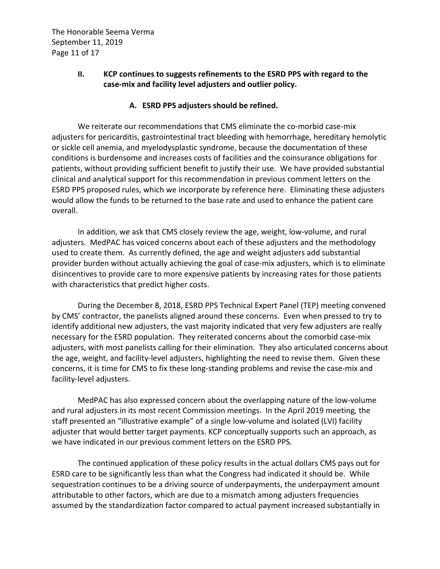The Honorable Seema Verma September 11, 2019 Page 11 of 17

## **II. KCP continues to suggests refinements to the ESRD PPS with regard to the case-mix and facility level adjusters and outlier policy.**

#### **A. ESRD PPS adjusters should be refined.**

We reiterate our recommendations that CMS eliminate the co-morbid case-mix adjusters for pericarditis, gastrointestinal tract bleeding with hemorrhage, hereditary hemolytic or sickle cell anemia, and myelodysplastic syndrome, because the documentation of these conditions is burdensome and increases costs of facilities and the coinsurance obligations for patients, without providing sufficient benefit to justify their use. We have provided substantial clinical and analytical support for this recommendation in previous comment letters on the ESRD PPS proposed rules, which we incorporate by reference here. Eliminating these adjusters would allow the funds to be returned to the base rate and used to enhance the patient care overall.

In addition, we ask that CMS closely review the age, weight, low-volume, and rural adjusters. MedPAC has voiced concerns about each of these adjusters and the methodology used to create them. As currently defined, the age and weight adjusters add substantial provider burden without actually achieving the goal of case-mix adjusters, which is to eliminate disincentives to provide care to more expensive patients by increasing rates for those patients with characteristics that predict higher costs.

During the December 8, 2018, ESRD PPS Technical Expert Panel (TEP) meeting convened by CMS' contractor, the panelists aligned around these concerns. Even when pressed to try to identify additional new adjusters, the vast majority indicated that very few adjusters are really necessary for the ESRD population. They reiterated concerns about the comorbid case-mix adjusters, with most panelists calling for their elimination. They also articulated concerns about the age, weight, and facility-level adjusters, highlighting the need to revise them. Given these concerns, it is time for CMS to fix these long-standing problems and revise the case-mix and facility-level adjusters.

MedPAC has also expressed concern about the overlapping nature of the low-volume and rural adjusters in its most recent Commission meetings. In the April 2019 meeting, the staff presented an "illustrative example" of a single low-volume and isolated (LVI) facility adjuster that would better target payments. KCP conceptually supports such an approach, as we have indicated in our previous comment letters on the ESRD PPS.

The continued application of these policy results in the actual dollars CMS pays out for ESRD care to be significantly less than what the Congress had indicated it should be. While sequestration continues to be a driving source of underpayments, the underpayment amount attributable to other factors, which are due to a mismatch among adjusters frequencies assumed by the standardization factor compared to actual payment increased substantially in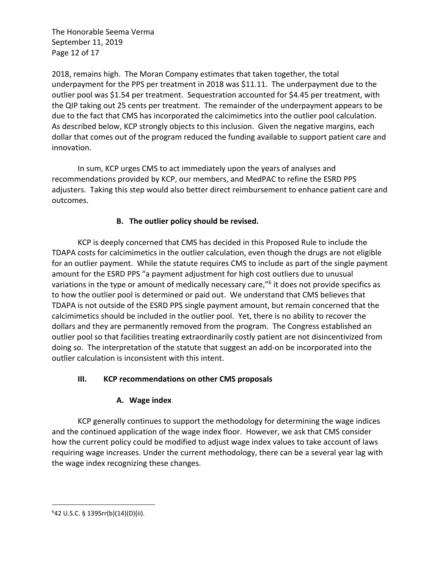The Honorable Seema Verma September 11, 2019 Page 12 of 17

2018, remains high. The Moran Company estimates that taken together, the total underpayment for the PPS per treatment in 2018 was \$11.11. The underpayment due to the outlier pool was \$1.54 per treatment. Sequestration accounted for \$4.45 per treatment, with the QIP taking out 25 cents per treatment. The remainder of the underpayment appears to be due to the fact that CMS has incorporated the calcimimetics into the outlier pool calculation. As described below, KCP strongly objects to this inclusion. Given the negative margins, each dollar that comes out of the program reduced the funding available to support patient care and innovation.

In sum, KCP urges CMS to act immediately upon the years of analyses and recommendations provided by KCP, our members, and MedPAC to refine the ESRD PPS adjusters. Taking this step would also better direct reimbursement to enhance patient care and outcomes.

# **B. The outlier policy should be revised.**

KCP is deeply concerned that CMS has decided in this Proposed Rule to include the TDAPA costs for calcimimetics in the outlier calculation, even though the drugs are not eligible for an outlier payment. While the statute requires CMS to include as part of the single payment amount for the ESRD PPS "a payment adjustment for high cost outliers due to unusual variations in the type or amount of medically necessary care,"<sup>6</sup> it does not provide specifics as to how the outlier pool is determined or paid out. We understand that CMS believes that TDAPA is not outside of the ESRD PPS single payment amount, but remain concerned that the calcimimetics should be included in the outlier pool. Yet, there is no ability to recover the dollars and they are permanently removed from the program. The Congress established an outlier pool so that facilities treating extraordinarily costly patient are not disincentivized from doing so. The interpretation of the statute that suggest an add-on be incorporated into the outlier calculation is inconsistent with this intent.

## **III. KCP recommendations on other CMS proposals**

## **A. Wage index**

KCP generally continues to support the methodology for determining the wage indices and the continued application of the wage index floor. However, we ask that CMS consider how the current policy could be modified to adjust wage index values to take account of laws requiring wage increases. Under the current methodology, there can be a several year lag with the wage index recognizing these changes.

 $642$  U.S.C. § 1395rr(b)(14)(D)(ii).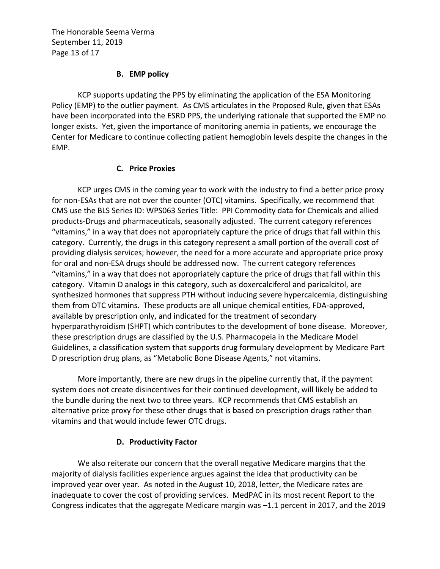The Honorable Seema Verma September 11, 2019 Page 13 of 17

#### **B. EMP policy**

KCP supports updating the PPS by eliminating the application of the ESA Monitoring Policy (EMP) to the outlier payment. As CMS articulates in the Proposed Rule, given that ESAs have been incorporated into the ESRD PPS, the underlying rationale that supported the EMP no longer exists. Yet, given the importance of monitoring anemia in patients, we encourage the Center for Medicare to continue collecting patient hemoglobin levels despite the changes in the EMP.

#### **C. Price Proxies**

KCP urges CMS in the coming year to work with the industry to find a better price proxy for non-ESAs that are not over the counter (OTC) vitamins. Specifically, we recommend that CMS use the BLS Series ID: WPS063 Series Title: PPI Commodity data for Chemicals and allied products-Drugs and pharmaceuticals, seasonally adjusted. The current category references "vitamins," in a way that does not appropriately capture the price of drugs that fall within this category. Currently, the drugs in this category represent a small portion of the overall cost of providing dialysis services; however, the need for a more accurate and appropriate price proxy for oral and non-ESA drugs should be addressed now. The current category references "vitamins," in a way that does not appropriately capture the price of drugs that fall within this category. Vitamin D analogs in this category, such as doxercalciferol and paricalcitol, are synthesized hormones that suppress PTH without inducing severe hypercalcemia, distinguishing them from OTC vitamins. These products are all unique chemical entities, FDA-approved, available by prescription only, and indicated for the treatment of secondary hyperparathyroidism (SHPT) which contributes to the development of bone disease. Moreover, these prescription drugs are classified by the U.S. Pharmacopeia in the Medicare Model Guidelines, a classification system that supports drug formulary development by Medicare Part D prescription drug plans, as "Metabolic Bone Disease Agents," not vitamins.

More importantly, there are new drugs in the pipeline currently that, if the payment system does not create disincentives for their continued development, will likely be added to the bundle during the next two to three years. KCP recommends that CMS establish an alternative price proxy for these other drugs that is based on prescription drugs rather than vitamins and that would include fewer OTC drugs.

#### **D. Productivity Factor**

We also reiterate our concern that the overall negative Medicare margins that the majority of dialysis facilities experience argues against the idea that productivity can be improved year over year. As noted in the August 10, 2018, letter, the Medicare rates are inadequate to cover the cost of providing services. MedPAC in its most recent Report to the Congress indicates that the aggregate Medicare margin was –1.1 percent in 2017, and the 2019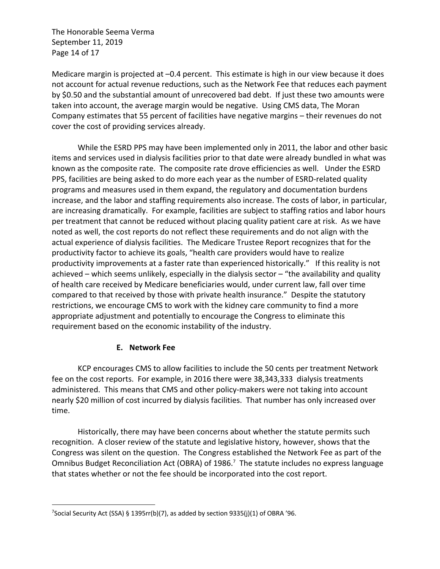The Honorable Seema Verma September 11, 2019 Page 14 of 17

Medicare margin is projected at –0.4 percent. This estimate is high in our view because it does not account for actual revenue reductions, such as the Network Fee that reduces each payment by \$0.50 and the substantial amount of unrecovered bad debt. If just these two amounts were taken into account, the average margin would be negative. Using CMS data, The Moran Company estimates that 55 percent of facilities have negative margins – their revenues do not cover the cost of providing services already.

While the ESRD PPS may have been implemented only in 2011, the labor and other basic items and services used in dialysis facilities prior to that date were already bundled in what was known as the composite rate. The composite rate drove efficiencies as well. Under the ESRD PPS, facilities are being asked to do more each year as the number of ESRD-related quality programs and measures used in them expand, the regulatory and documentation burdens increase, and the labor and staffing requirements also increase. The costs of labor, in particular, are increasing dramatically. For example, facilities are subject to staffing ratios and labor hours per treatment that cannot be reduced without placing quality patient care at risk. As we have noted as well, the cost reports do not reflect these requirements and do not align with the actual experience of dialysis facilities. The Medicare Trustee Report recognizes that for the productivity factor to achieve its goals, "health care providers would have to realize productivity improvements at a faster rate than experienced historically." If this reality is not achieved – which seems unlikely, especially in the dialysis sector – "the availability and quality of health care received by Medicare beneficiaries would, under current law, fall over time compared to that received by those with private health insurance." Despite the statutory restrictions, we encourage CMS to work with the kidney care community to find a more appropriate adjustment and potentially to encourage the Congress to eliminate this requirement based on the economic instability of the industry.

## **E. Network Fee**

KCP encourages CMS to allow facilities to include the 50 cents per treatment Network fee on the cost reports. For example, in 2016 there were 38,343,333 dialysis treatments administered. This means that CMS and other policy-makers were not taking into account nearly \$20 million of cost incurred by dialysis facilities. That number has only increased over time.

Historically, there may have been concerns about whether the statute permits such recognition. A closer review of the statute and legislative history, however, shows that the Congress was silent on the question. The Congress established the Network Fee as part of the Omnibus Budget Reconciliation Act (OBRA) of 1986.<sup>7</sup> The statute includes no express language that states whether or not the fee should be incorporated into the cost report.

<sup>&</sup>lt;sup>7</sup>Social Security Act (SSA) § 1395rr(b)(7), as added by section 9335(j)(1) of OBRA '96.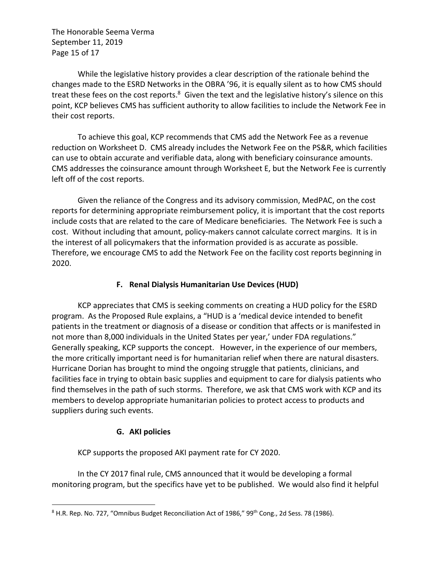The Honorable Seema Verma September 11, 2019 Page 15 of 17

While the legislative history provides a clear description of the rationale behind the changes made to the ESRD Networks in the OBRA '96, it is equally silent as to how CMS should treat these fees on the cost reports. $8\,$  Given the text and the legislative history's silence on this point, KCP believes CMS has sufficient authority to allow facilities to include the Network Fee in their cost reports.

To achieve this goal, KCP recommends that CMS add the Network Fee as a revenue reduction on Worksheet D. CMS already includes the Network Fee on the PS&R, which facilities can use to obtain accurate and verifiable data, along with beneficiary coinsurance amounts. CMS addresses the coinsurance amount through Worksheet E, but the Network Fee is currently left off of the cost reports.

Given the reliance of the Congress and its advisory commission, MedPAC, on the cost reports for determining appropriate reimbursement policy, it is important that the cost reports include costs that are related to the care of Medicare beneficiaries. The Network Fee is such a cost. Without including that amount, policy-makers cannot calculate correct margins. It is in the interest of all policymakers that the information provided is as accurate as possible. Therefore, we encourage CMS to add the Network Fee on the facility cost reports beginning in 2020.

## **F. Renal Dialysis Humanitarian Use Devices (HUD)**

KCP appreciates that CMS is seeking comments on creating a HUD policy for the ESRD program. As the Proposed Rule explains, a "HUD is a 'medical device intended to benefit patients in the treatment or diagnosis of a disease or condition that affects or is manifested in not more than 8,000 individuals in the United States per year,' under FDA regulations." Generally speaking, KCP supports the concept. However, in the experience of our members, the more critically important need is for humanitarian relief when there are natural disasters. Hurricane Dorian has brought to mind the ongoing struggle that patients, clinicians, and facilities face in trying to obtain basic supplies and equipment to care for dialysis patients who find themselves in the path of such storms. Therefore, we ask that CMS work with KCP and its members to develop appropriate humanitarian policies to protect access to products and suppliers during such events.

## **G. AKI policies**

KCP supports the proposed AKI payment rate for CY 2020.

In the CY 2017 final rule, CMS announced that it would be developing a formal monitoring program, but the specifics have yet to be published. We would also find it helpful

<sup>&</sup>lt;sup>8</sup> H.R. Rep. No. 727, "Omnibus Budget Reconciliation Act of 1986," 99<sup>th</sup> Cong., 2d Sess. 78 (1986).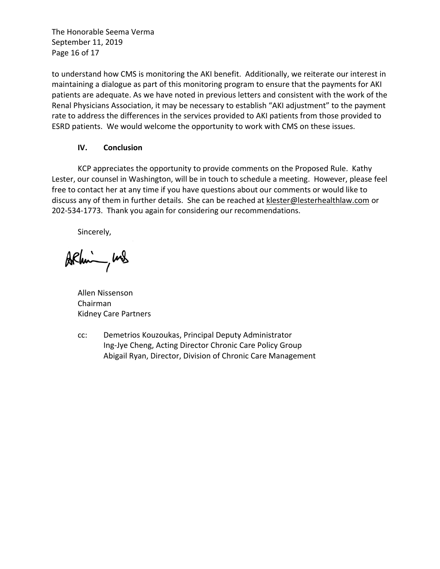The Honorable Seema Verma September 11, 2019 Page 16 of 17

to understand how CMS is monitoring the AKI benefit. Additionally, we reiterate our interest in maintaining a dialogue as part of this monitoring program to ensure that the payments for AKI patients are adequate. As we have noted in previous letters and consistent with the work of the Renal Physicians Association, it may be necessary to establish "AKI adjustment" to the payment rate to address the differences in the services provided to AKI patients from those provided to ESRD patients. We would welcome the opportunity to work with CMS on these issues.

#### **IV. Conclusion**

KCP appreciates the opportunity to provide comments on the Proposed Rule. Kathy Lester, our counsel in Washington, will be in touch to schedule a meeting. However, please feel free to contact her at any time if you have questions about our comments or would like to discuss any of them in further details. She can be reached at klester@lesterhealthlaw.com or 202-534-1773. Thank you again for considering our recommendations.

Sincerely,

ARhim, und

Allen Nissenson Chairman Kidney Care Partners

cc: Demetrios Kouzoukas, Principal Deputy Administrator Ing-Jye Cheng, Acting Director Chronic Care Policy Group Abigail Ryan, Director, Division of Chronic Care Management